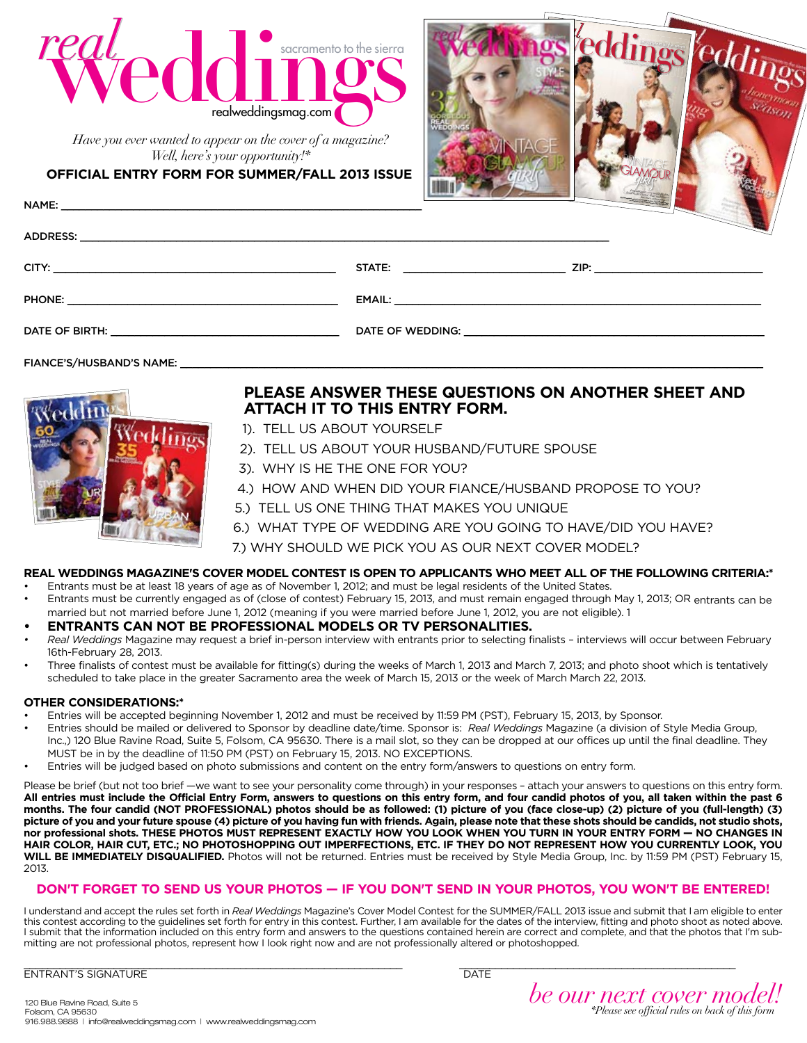

*Have you ever wanted to appear on the cover of a magazine? Well, here's your opportunity!\**

**Official Entry Form for SUMMER/FALL 2013 Issue**



|                    | <b>Service</b> |
|--------------------|----------------|
| <b>CITY:</b> CITY: |                |
|                    |                |
|                    |                |

FIANCE'S/HUSBAND'S NAME:



# **Please answer these questions on another sheet and attach it to this entry form.**

- 1). Tell us about yourself
- 2). Tell us about your husband/future spouse
- 3). Why is he the one for you?
- 4.) How and when did your fiance/husband propose to you?
- 5.) Tell us one thing that makes you unique
- 6.) What type of wedding are you going to have/did you have?

7.) Why should we pick you as our next cover model?

# **Real Weddings Magazine's Cover Model Contest is open to applicants who meet all of the following criteria:\***

- Entrants must be at least 18 years of age as of November 1, 2012; and must be legal residents of the United States. • Entrants must be currently engaged as of (close of contest) February 15, 2013, and must remain engaged through May 1, 2013; OR entrants can be
	- married but not married before June 1, 2012 (meaning if you were married before June 1, 2012, you are not eligible). 1

### **• Entrants can not be professional models or TV personalities.**

- *• Real Weddings* Magazine may request a brief in-person interview with entrants prior to selecting finalists interviews will occur between February 16th-February 28, 2013.
- Three finalists of contest must be available for fitting(s) during the weeks of March 1, 2013 and March 7, 2013; and photo shoot which is tentatively scheduled to take place in the greater Sacramento area the week of March 15, 2013 or the week of March March 22, 2013.

### **Other Considerations:\***

- Entries will be accepted beginning November 1, 2012 and must be received by 11:59 PM (PST), February 15, 2013, by Sponsor.
- Entries should be mailed or delivered to Sponsor by deadline date/time. Sponsor is: *Real Weddings* Magazine (a division of Style Media Group, Inc.,) 120 Blue Ravine Road, Suite 5, Folsom, CA 95630. There is a mail slot, so they can be dropped at our offices up until the final deadline. They MUST be in by the deadline of 11:50 PM (PST) on February 15, 2013. NO EXCEPTIONS.
- Entries will be judged based on photo submissions and content on the entry form/answers to questions on entry form.

Please be brief (but not too brief —we want to see your personality come through) in your responses - attach your answers to questions on this entry form. **All entries must include the Official Entry Form, answers to questions on this entry form, and four candid photos of you, all taken within the past 6 months. The four candid (NOT PROFESSIONAL) photos should be as followed: (1) picture of you (face close-up) (2) picture of you (full-length) (3) picture of you and your future spouse (4) picture of you having fun with friends. Again, please note that these shots should be candids, not studio shots,**  nor professional shots. THESE PHOTOS MUST REPRESENT EXACTLY HOW YOU LOOK WHEN YOU TURN IN YOUR ENTRY FORM - NO CHANGES IN **HAIR COLOR, HAIR CUT, ETC.; NO PHOTOSHOPPING OUT IMPERFECTIONS, ETC. IF THEY DO NOT REPRESENT HOW YOU CURRENTLY LOOK, YOU WILL BE IMMEDIATELY DISQUALIFIED.** Photos will not be returned. Entries must be received by Style Media Group, Inc. by 11:59 PM (PST) February 15, 2013.

### **DON'T FORGET TO SEND US YOUR PHOTOS — IF YOU DON'T SEND IN YOUR PHOTOS, YOU WON'T BE ENTERED!**

I understand and accept the rules set forth in *Real Weddings* Magazine's Cover Model Contest for the SUMMER/FALL 2013 issue and submit that I am eligible to enter this contest according to the guidelines set forth for entry in this contest. Further, I am available for the dates of the interview, fitting and photo shoot as noted above. I submit that the information included on this entry form and answers to the questions contained herein are correct and complete, and that the photos that I'm submitting are not professional photos, represent how I look right now and are not professionally altered or photoshopped.

\_\_\_\_\_\_\_\_\_\_\_\_\_\_\_\_\_\_\_\_\_\_\_\_\_\_\_\_\_\_\_\_\_\_\_\_\_\_\_\_\_\_\_\_\_\_\_\_\_\_\_\_\_\_\_\_\_\_\_\_\_\_\_ \_\_\_\_\_\_\_\_\_\_\_\_\_\_\_\_\_\_\_\_\_\_\_\_\_\_\_\_\_\_\_\_\_\_\_\_\_\_\_\_\_\_\_\_\_\_ ENTRANT'S SIGNATURE THE CONSTRUCTION OF THE CONSTRUCTION OF THE CONSTRUCTION OF THE CONSTRUCTION OF THE CONSTRUCTION OF THE CONSTRUCTION OF THE CONSTRUCTION OF THE CONSTRUCTION OF THE CONSTRUCTION OF THE CONSTRUCTION OF TH